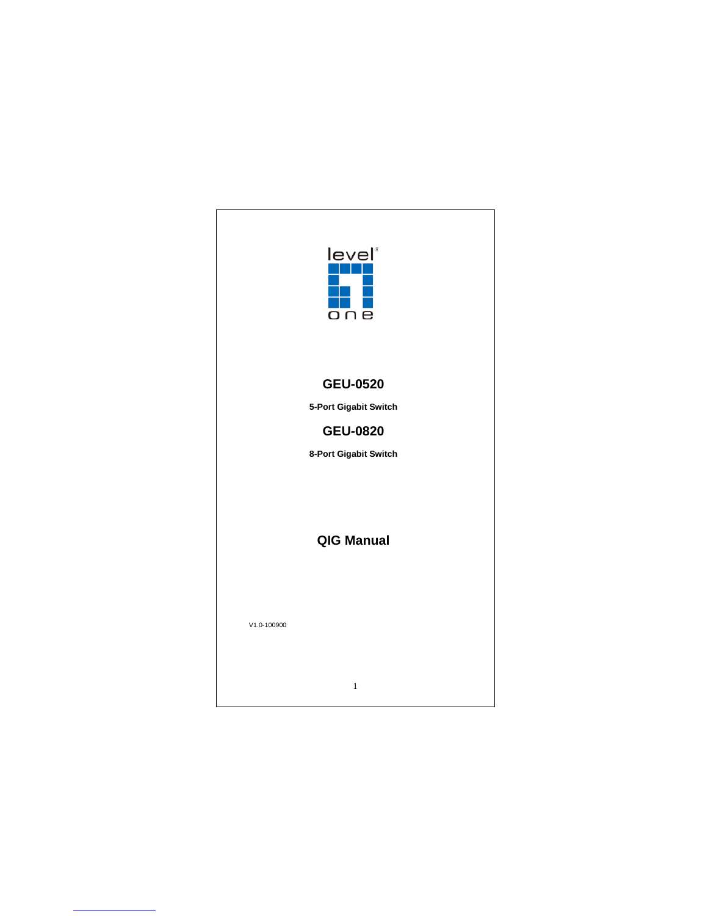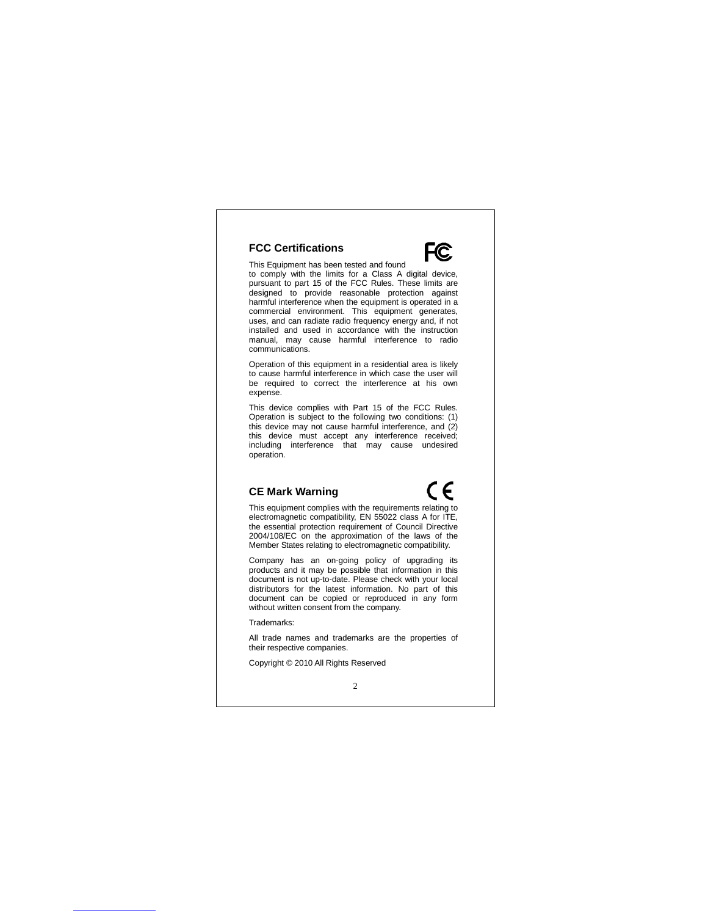#### **FCC Certifications**

This Equipment has been tested and found to comply with the limits for a Class A digital device, pursuant to part 15 of the FCC Rules. These limits are designed to provide reasonable protection against harmful interference when the equipment is operated in a commercial environment. This equipment generates, uses, and can radiate radio frequency energy and, if not installed and used in accordance with the instruction manual, may cause harmful interference to radio communications.

Operation of this equipment in a residential area is likely to cause harmful interference in which case the user will be required to correct the interference at his own expense.

This device complies with Part 15 of the FCC Rules. Operation is subject to the following two conditions: (1) this device may not cause harmful interference, and (2) this device must accept any interference received; including interference that may cause undesired operation.

#### **CE Mark Warning**

# €

F<sub>C</sub>

This equipment complies with the requirements relating to electromagnetic compatibility, EN 55022 class A for ITE, the essential protection requirement of Council Directive 2004/108/EC on the approximation of the laws of the Member States relating to electromagnetic compatibility.

Company has an on-going policy of upgrading its products and it may be possible that information in this document is not up-to-date. Please check with your local distributors for the latest information. No part of this document can be copied or reproduced in any form without written consent from the company.

Trademarks:

All trade names and trademarks are the properties of their respective companies.

Copyright © 2010 All Rights Reserved

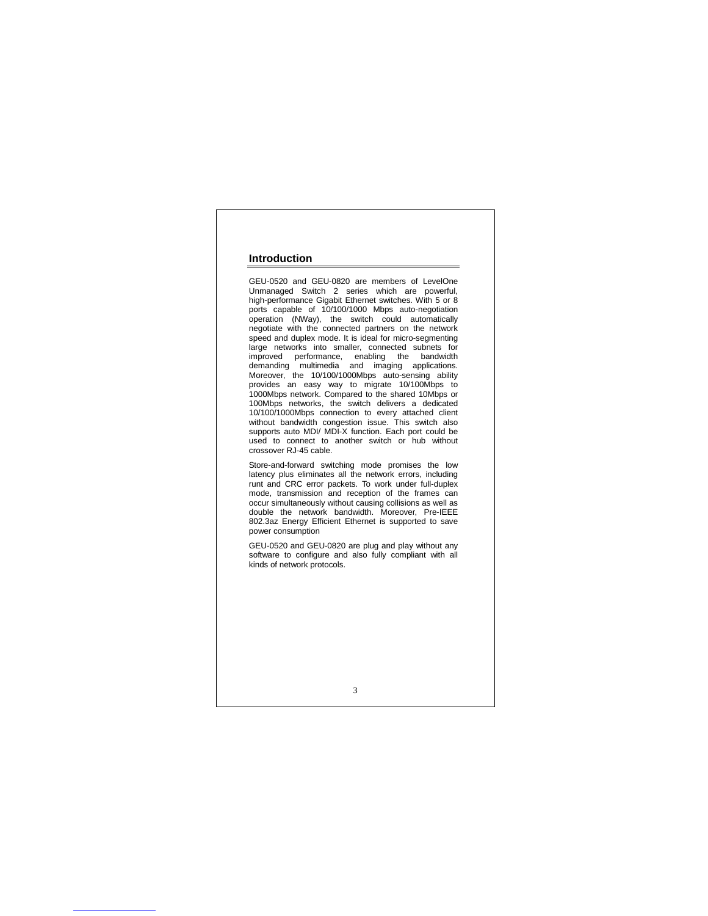#### **Introduction**

GEU-0520 and GEU-0820 are members of LevelOne Unmanaged Switch 2 series which are powerful, high-performance Gigabit Ethernet switches. With 5 or 8 ports capable of 10/100/1000 Mbps auto-negotiation operation (NWay), the switch could automatically negotiate with the connected partners on the network speed and duplex mode. It is ideal for micro-segmenting large networks into smaller, connected subnets for improved performance, enabling the bandwidth demanding multimedia and imaging applications. Moreover, the 10/100/1000Mbps auto-sensing ability provides an easy way to migrate 10/100Mbps to 1000Mbps network. Compared to the shared 10Mbps or 100Mbps networks, the switch delivers a dedicated 10/100/1000Mbps connection to every attached client without bandwidth congestion issue. This switch also supports auto MDI/ MDI-X function. Each port could be used to connect to another switch or hub without crossover RJ-45 cable.

Store-and-forward switching mode promises the low latency plus eliminates all the network errors, including runt and CRC error packets. To work under full-duplex mode, transmission and reception of the frames can occur simultaneously without causing collisions as well as double the network bandwidth. Moreover, Pre-IEEE 802.3az Energy Efficient Ethernet is supported to save power consumption

GEU-0520 and GEU-0820 are plug and play without any software to configure and also fully compliant with all kinds of network protocols.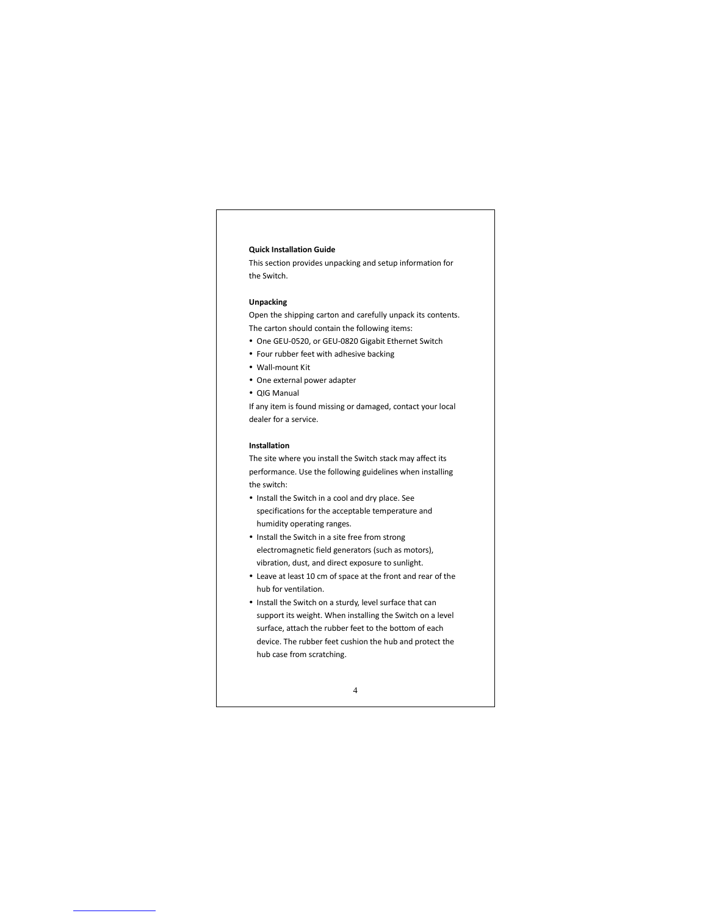#### **Quick Installation Guide**

This section provides unpacking and setup information for the Switch.

#### **Unpacking**

Open the shipping carton and carefully unpack its contents. The carton should contain the following items:

- One GEU-0520, or GEU-0820 Gigabit Ethernet Switch
- Four rubber feet with adhesive backing
- Wall-mount Kit
- One external power adapter
- QIG Manual

If any item is found missing or damaged, contact your local dealer for a service.

#### **Installation**

The site where you install the Switch stack may affect its performance. Use the following guidelines when installing the switch:

- Install the Switch in a cool and dry place. See specifications for the acceptable temperature and humidity operating ranges.
- Install the Switch in a site free from strong electromagnetic field generators (such as motors), vibration, dust, and direct exposure to sunlight.
- Leave at least 10 cm of space at the front and rear of the hub for ventilation.
- Install the Switch on a sturdy, level surface that can support its weight. When installing the Switch on a level surface, attach the rubber feet to the bottom of each device. The rubber feet cushion the hub and protect the hub case from scratching.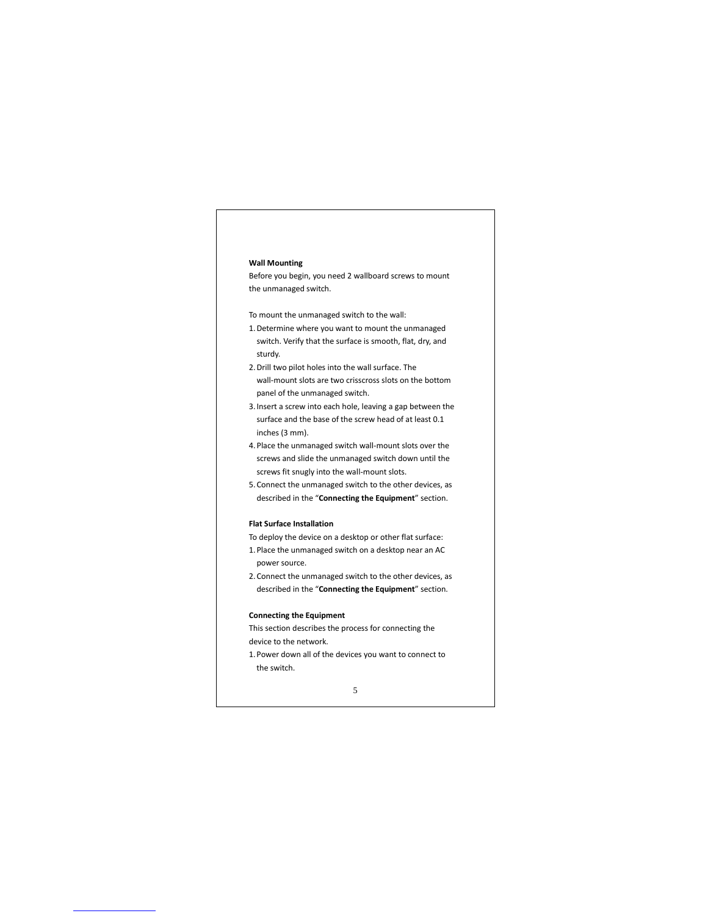#### **Wall Mounting**

Before you begin, you need 2 wallboard screws to mount the unmanaged switch.

To mount the unmanaged switch to the wall:

- 1.Determine where you want to mount the unmanaged switch. Verify that the surface is smooth, flat, dry, and sturdy.
- 2.Drill two pilot holes into the wall surface. The wall-mount slots are two crisscross slots on the bottom panel of the unmanaged switch.
- 3.Insert a screw into each hole, leaving a gap between the surface and the base of the screw head of at least 0.1 inches (3 mm).
- 4.Place the unmanaged switch wall-mount slots over the screws and slide the unmanaged switch down until the screws fit snugly into the wall-mount slots.
- 5.Connect the unmanaged switch to the other devices, as described in the "**Connecting the Equipment**" section.

#### **Flat Surface Installation**

- To deploy the device on a desktop or other flat surface:
- 1.Place the unmanaged switch on a desktop near an AC power source.
- 2.Connect the unmanaged switch to the other devices, as described in the "**Connecting the Equipment**" section.

#### **Connecting the Equipment**

This section describes the process for connecting the device to the network.

1.Power down all of the devices you want to connect to the switch.

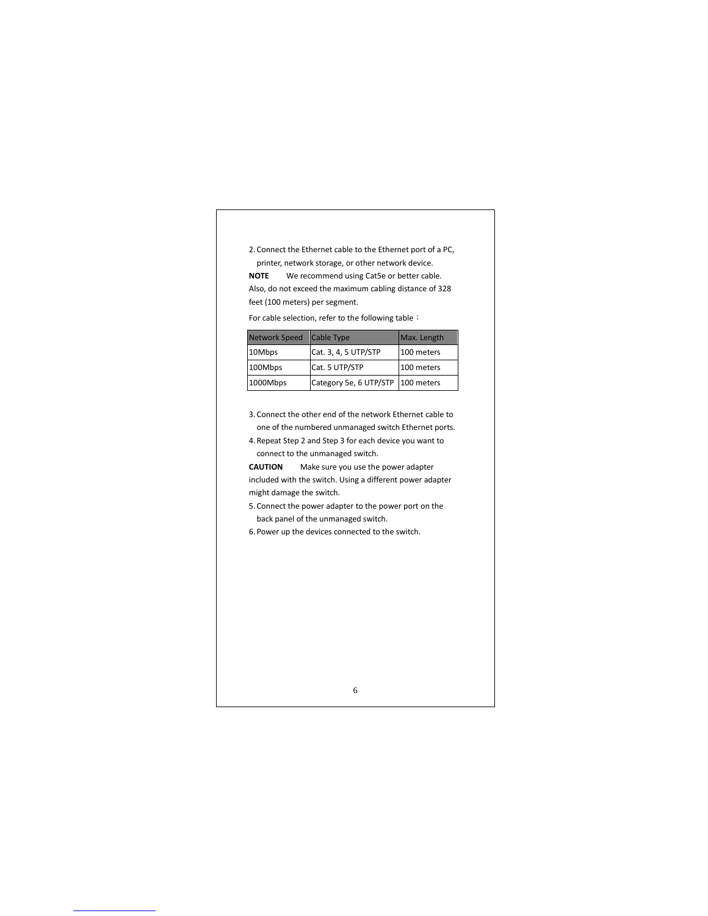2.Connect the Ethernet cable to the Ethernet port of a PC, printer, network storage, or other network device.

**NOTE** We recommend using Cat5e or better cable. Also, do not exceed the maximum cabling distance of 328 feet (100 meters) per segment.

For cable selection, refer to the following table:

| Network Speed   Cable Type |                                   | Max. Length |
|----------------------------|-----------------------------------|-------------|
| 10Mbps                     | Cat. 3, 4, 5 UTP/STP              | 100 meters  |
| 100Mbps                    | Cat. 5 UTP/STP                    | 100 meters  |
| 1000Mbps                   | Category 5e, 6 UTP/STP 100 meters |             |

3.Connect the other end of the network Ethernet cable to one of the numbered unmanaged switch Ethernet ports.

4.Repeat Step 2 and Step 3 for each device you want to connect to the unmanaged switch.

**CAUTION** Make sure you use the power adapter included with the switch. Using a different power adapter might damage the switch.

5.Connect the power adapter to the power port on the back panel of the unmanaged switch.

6.Power up the devices connected to the switch.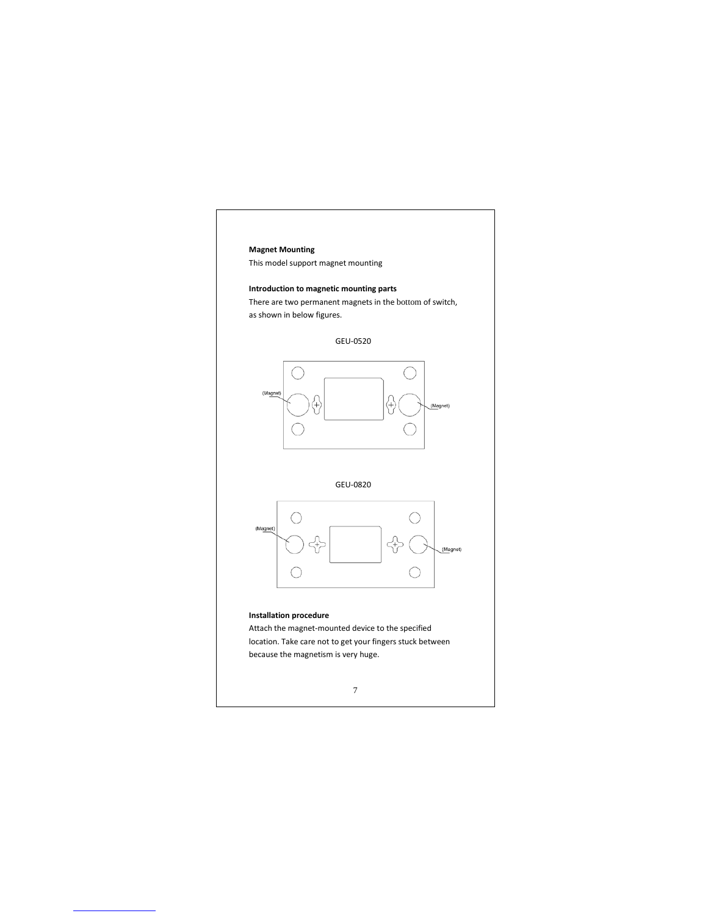## **Magnet Mounting** This model support magnet mounting **Introduction to magnetic mounting parts** There are two permanent magnets in the bottom of switch, as shown in below figures. GEU-0520 (Magr GEU-0820 O C (Magnet) ╬ (Magnet)  $\bigcirc$ O

#### **Installation procedure**

Attach the magnet-mounted device to the specified location. Take care not to get your fingers stuck between because the magnetism is very huge.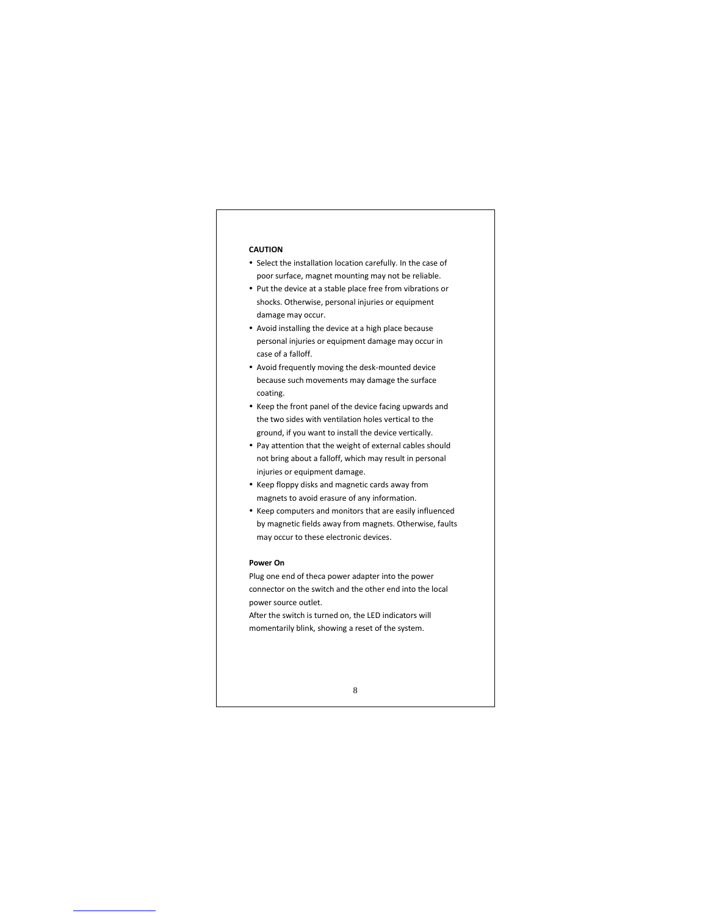#### **CAUTION**

- Select the installation location carefully. In the case of poor surface, magnet mounting may not be reliable.
- Put the device at a stable place free from vibrations or shocks. Otherwise, personal injuries or equipment damage may occur.
- Avoid installing the device at a high place because personal injuries or equipment damage may occur in case of a falloff.
- Avoid frequently moving the desk-mounted device because such movements may damage the surface coating.
- Keep the front panel of the device facing upwards and the two sides with ventilation holes vertical to the ground, if you want to install the device vertically.
- Pay attention that the weight of external cables should not bring about a falloff, which may result in personal injuries or equipment damage.
- Keep floppy disks and magnetic cards away from magnets to avoid erasure of any information.
- Keep computers and monitors that are easily influenced by magnetic fields away from magnets. Otherwise, faults may occur to these electronic devices.

#### **Power On**

Plug one end of theca power adapter into the power connector on the switch and the other end into the local power source outlet.

After the switch is turned on, the LED indicators will momentarily blink, showing a reset of the system.

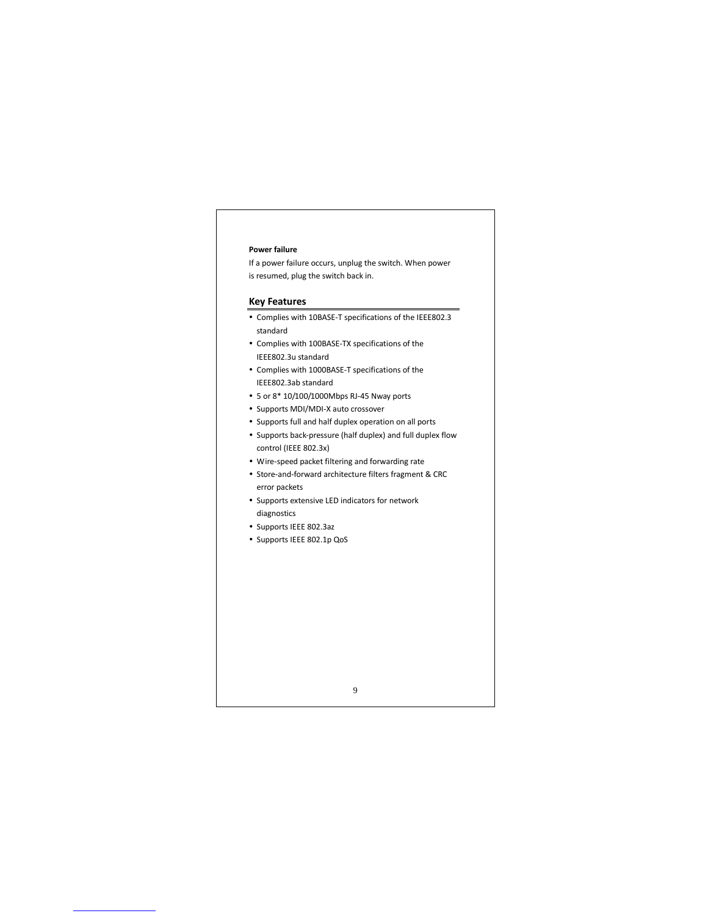#### **Power failure**

If a power failure occurs, unplug the switch. When power is resumed, plug the switch back in.

#### **Key Features**

- Complies with 10BASE-T specifications of the IEEE802.3 standard
- Complies with 100BASE-TX specifications of the IEEE802.3u standard
- Complies with 1000BASE-T specifications of the IEEE802.3ab standard
- 5 or 8\* 10/100/1000Mbps RJ-45 Nway ports
- Supports MDI/MDI-X auto crossover
- Supports full and half duplex operation on all ports
- Supports back-pressure (half duplex) and full duplex flow control (IEEE 802.3x)
- Wire-speed packet filtering and forwarding rate
- Store-and-forward architecture filters fragment & CRC error packets

- Supports extensive LED indicators for network diagnostics
- Supports IEEE 802.3az
- Supports IEEE 802.1p QoS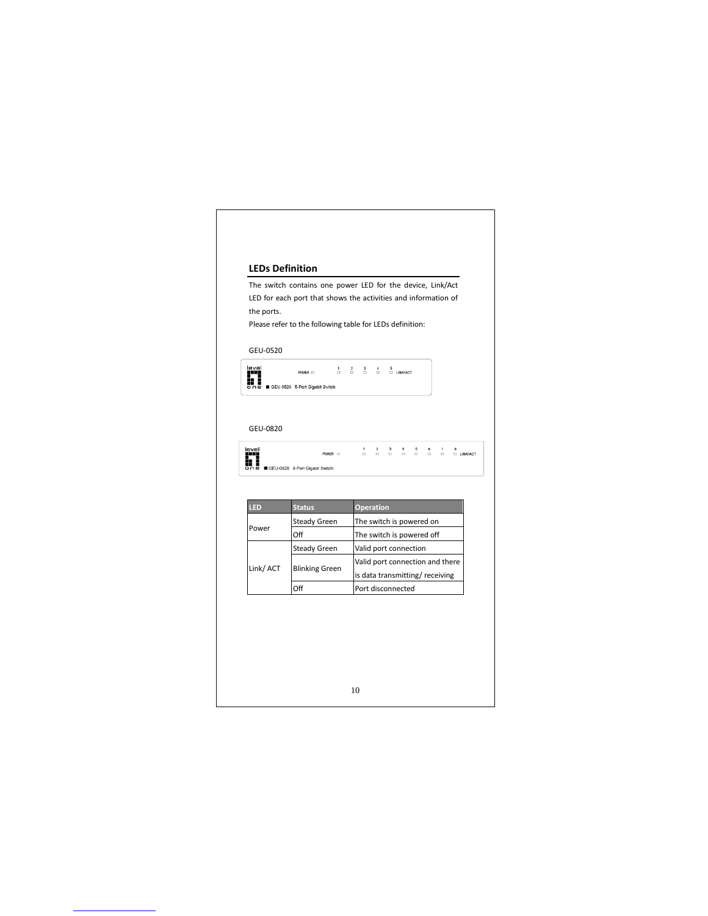### **LEDs Definition** The switch contains one power LED for the device, Link/Act LED for each port that shows the activities and information of the ports. Please refer to the following table for LEDs definition: GEU-0520 level<br>■■■■■■■ c<br>●●■ ■ GEU-0520 5-Port Gigabit Switch  $\begin{array}{ccccc} 1 & 2 & 3 & 4 & 5 \\ \Box & \Box & \Box & \Box & \Box & \Box \end{array}$ GEU-0820 level<br>■■■<br>One ■GEU-0820 8-Port Gigabit Switch  $\begin{array}{rcl} \text{POWER} & \text{---} \end{array}$ **LED Status** Steady Green The switch is powered on Power Off The switch is powered off Steady Green Valid port connection Blinking Green Valid port connection and there Link/ ACT is data transmitting/ receiving Off Port disconnected 10